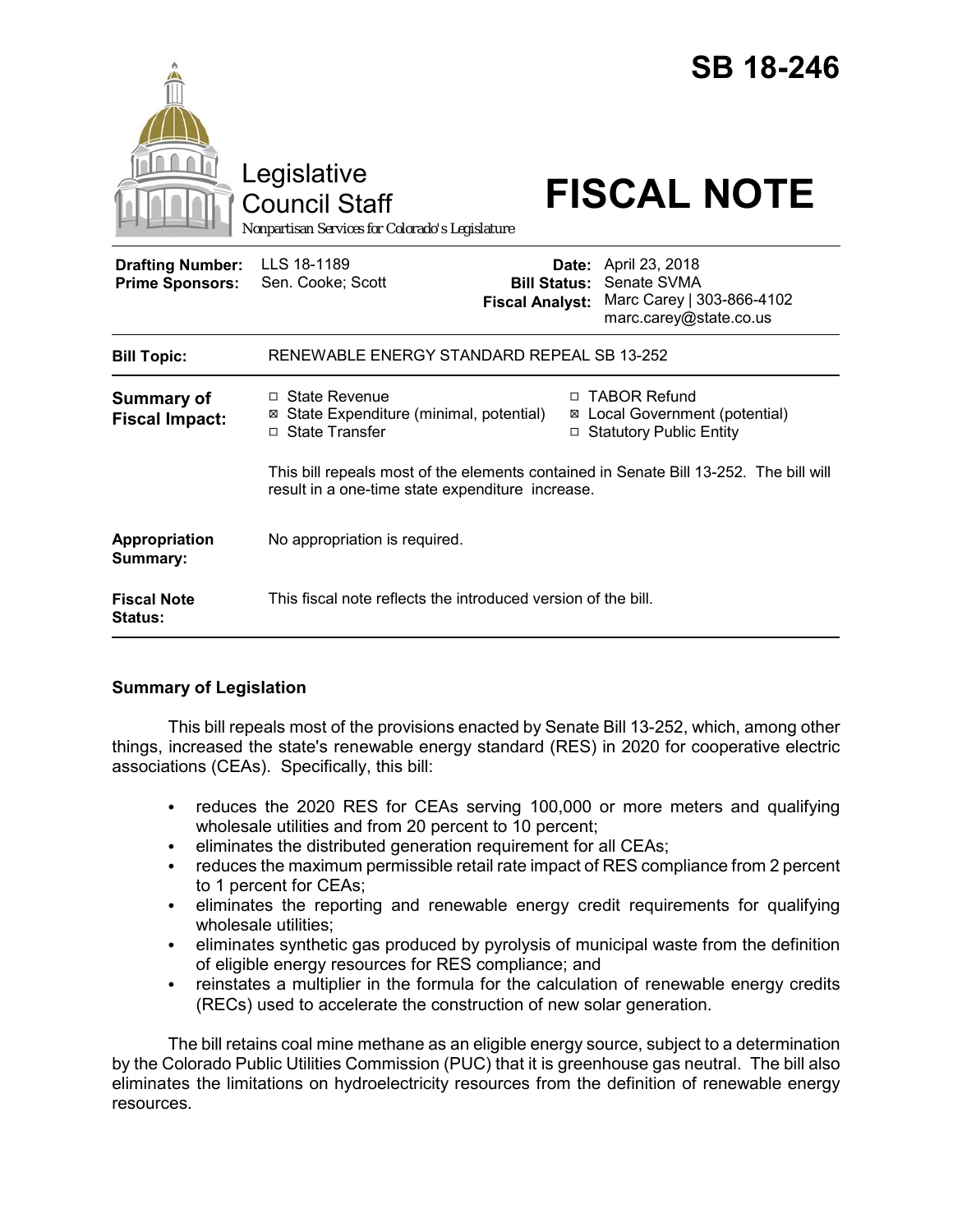|                                                   | Legislative<br><b>Council Staff</b><br>Nonpartisan Services for Colorado's Legislature                                                    |        | <b>SB 18-246</b><br><b>FISCAL NOTE</b>                                                                   |
|---------------------------------------------------|-------------------------------------------------------------------------------------------------------------------------------------------|--------|----------------------------------------------------------------------------------------------------------|
| <b>Drafting Number:</b><br><b>Prime Sponsors:</b> | LLS 18-1189<br>Sen. Cooke; Scott<br><b>Fiscal Analyst:</b>                                                                                | Date:  | April 23, 2018<br><b>Bill Status: Senate SVMA</b><br>Marc Carey   303-866-4102<br>marc.carey@state.co.us |
| <b>Bill Topic:</b>                                | RENEWABLE ENERGY STANDARD REPEAL SB 13-252                                                                                                |        |                                                                                                          |
| <b>Summary of</b><br><b>Fiscal Impact:</b>        | □ State Revenue<br>⊠ State Expenditure (minimal, potential)<br>□ State Transfer                                                           | $\Box$ | <b>TABOR Refund</b><br>⊠ Local Government (potential)<br>□ Statutory Public Entity                       |
|                                                   | This bill repeals most of the elements contained in Senate Bill 13-252. The bill will<br>result in a one-time state expenditure increase. |        |                                                                                                          |
| Appropriation<br>Summary:                         | No appropriation is required.                                                                                                             |        |                                                                                                          |
| <b>Fiscal Note</b><br><b>Status:</b>              | This fiscal note reflects the introduced version of the bill.                                                                             |        |                                                                                                          |

# **Summary of Legislation**

This bill repeals most of the provisions enacted by Senate Bill 13-252, which, among other things, increased the state's renewable energy standard (RES) in 2020 for cooperative electric associations (CEAs). Specifically, this bill:

- reduces the 2020 RES for CEAs serving 100,000 or more meters and qualifying wholesale utilities and from 20 percent to 10 percent;
- eliminates the distributed generation requirement for all CEAs;
- reduces the maximum permissible retail rate impact of RES compliance from 2 percent to 1 percent for CEAs;
- eliminates the reporting and renewable energy credit requirements for qualifying wholesale utilities;
- eliminates synthetic gas produced by pyrolysis of municipal waste from the definition of eligible energy resources for RES compliance; and
- reinstates a multiplier in the formula for the calculation of renewable energy credits (RECs) used to accelerate the construction of new solar generation.

The bill retains coal mine methane as an eligible energy source, subject to a determination by the Colorado Public Utilities Commission (PUC) that it is greenhouse gas neutral. The bill also eliminates the limitations on hydroelectricity resources from the definition of renewable energy resources.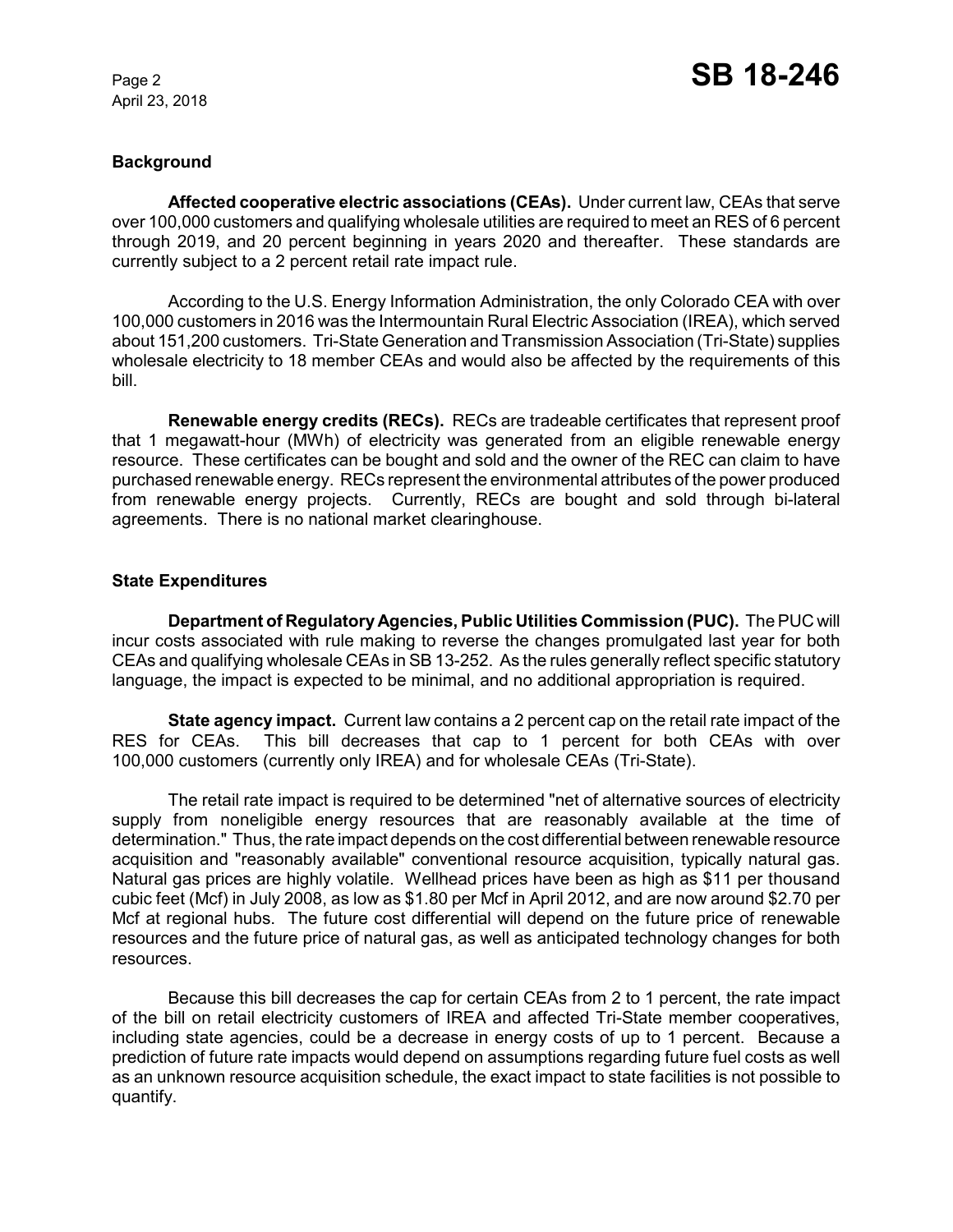April 23, 2018

### **Background**

**Affected cooperative electric associations (CEAs).** Under current law, CEAs that serve over 100,000 customers and qualifying wholesale utilities are required to meet an RES of 6 percent through 2019, and 20 percent beginning in years 2020 and thereafter. These standards are currently subject to a 2 percent retail rate impact rule.

According to the U.S. Energy Information Administration, the only Colorado CEA with over 100,000 customers in 2016 was the Intermountain Rural Electric Association (IREA), which served about 151,200 customers. Tri-State Generation and Transmission Association (Tri-State) supplies wholesale electricity to 18 member CEAs and would also be affected by the requirements of this bill.

**Renewable energy credits (RECs).** RECs are tradeable certificates that represent proof that 1 megawatt-hour (MWh) of electricity was generated from an eligible renewable energy resource. These certificates can be bought and sold and the owner of the REC can claim to have purchased renewable energy. RECs represent the environmental attributes of the power produced from renewable energy projects. Currently, RECs are bought and sold through bi-lateral agreements. There is no national market clearinghouse.

## **State Expenditures**

**Department of Regulatory Agencies, Public Utilities Commission (PUC).** The PUC will incur costs associated with rule making to reverse the changes promulgated last year for both CEAs and qualifying wholesale CEAs in SB 13-252. As the rules generally reflect specific statutory language, the impact is expected to be minimal, and no additional appropriation is required.

**State agency impact.** Current law contains a 2 percent cap on the retail rate impact of the RES for CEAs. This bill decreases that cap to 1 percent for both CEAs with over 100,000 customers (currently only IREA) and for wholesale CEAs (Tri-State).

The retail rate impact is required to be determined "net of alternative sources of electricity supply from noneligible energy resources that are reasonably available at the time of determination." Thus, the rate impact depends on the cost differential between renewable resource acquisition and "reasonably available" conventional resource acquisition, typically natural gas. Natural gas prices are highly volatile. Wellhead prices have been as high as \$11 per thousand cubic feet (Mcf) in July 2008, as low as \$1.80 per Mcf in April 2012, and are now around \$2.70 per Mcf at regional hubs. The future cost differential will depend on the future price of renewable resources and the future price of natural gas, as well as anticipated technology changes for both resources.

Because this bill decreases the cap for certain CEAs from 2 to 1 percent, the rate impact of the bill on retail electricity customers of IREA and affected Tri-State member cooperatives, including state agencies, could be a decrease in energy costs of up to 1 percent. Because a prediction of future rate impacts would depend on assumptions regarding future fuel costs as well as an unknown resource acquisition schedule, the exact impact to state facilities is not possible to quantify.